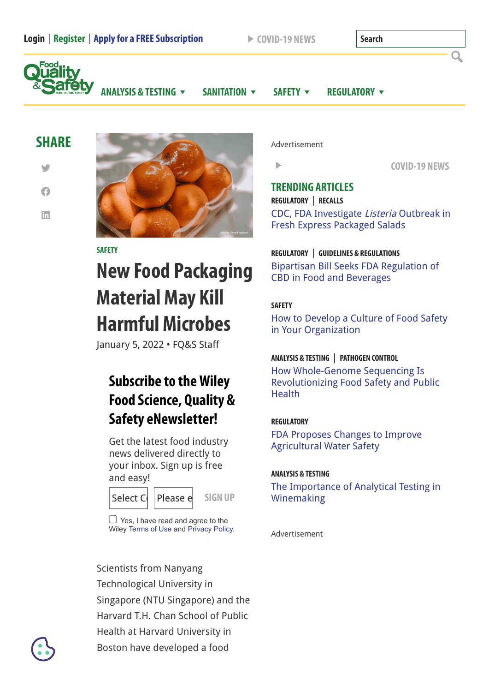#### **Login [Register](https://www.foodqualityandsafety.com/register-general/) [Apply for a FREE Subscription](https://www.foodqualityandsafety.com/register/)**

**[COVID-19 NEWS](https://www.foodqualityandsafety.com/tag/covid-19/) Search**



|--|



**[SANITATION](https://www.foodqualityandsafety.com/category/sanitation/) <b>v** [SAFETY](https://www.foodqualityandsafety.com/category/safety/) **v** [REGULATORY](https://www.foodqualityandsafety.com/category/regulatory/) **v** 

### **SHARE**

 $\overline{\phantom{a}}$  $\bullet$ **in** 



**[SAFETY](https://www.foodqualityandsafety.com/category/safety/)**

# **New Food Packaging Material May Kill Harmful Microbes**

January 5, 2022 • FQ&S Staff

## **Subscribe to the Wiley Food Science, Quality & Safety eNewsletter!**

Get the latest food industry news delivered directly to your inbox. Sign up is free and easy!

# Select C<sub>o</sub> Please e SIGN UP

 $\Box$  Yes, I have read and agree to the Wiley [Terms of Use](https://onlinelibrary.wiley.com/terms-and-conditions/) and [Privacy Policy.](https://www.wiley.com/en-us/privacy/)

Scientists from Nanyang Technological University in Singapore (NTU Singapore) and the Harvard T.H. Chan School of Public Health at Harvard University in Boston have developed a food

Advertisement

 $\mathbf{r}$ 

**[COVID-19 NEWS](https://www.foodqualityandsafety.com/tag/covid-19/)**

 $\mathbf{Q}$ 

#### **TRENDING ARTICLES**

**[REGULATORY](https://www.foodqualityandsafety.com/category/regulatory/)** | **[RECALLS](https://www.foodqualityandsafety.com/category/regulatory/recalls/)**

CDC, FDA Investigate Listeria Outbreak in [Fresh Express Packaged Salads](https://www.foodqualityandsafety.com/article/cdc-fda-investigate-listeria-outbreak-in-fresh-express-packaged-salads/)

**[REGULATORY](https://www.foodqualityandsafety.com/category/regulatory/)** | **[GUIDELINES & REGULATIONS](https://www.foodqualityandsafety.com/category/regulatory/guidelines-and-regulations/)** [Bipartisan Bill Seeks FDA Regulation of](https://www.foodqualityandsafety.com/article/bipartisan-bill-seeks-fda-regulation-of-cbd-in-food-and-beverages/) CBD in Food and Beverages

#### **[SAFETY](https://www.foodqualityandsafety.com/category/safety/)**

[How to Develop a Culture of Food Safety](https://www.foodqualityandsafety.com/article/developing-food-safety-culture/) in Your Organization

#### **[ANALYSIS & TESTING](https://www.foodqualityandsafety.com/category/analysis-and-testing/)** | **[PATHOGEN CONTROL](https://www.foodqualityandsafety.com/category/analysis-and-testing/pathogen-control/)**

How Whole-Genome Sequencing Is [Revolutionizing Food Safety and Public](https://www.foodqualityandsafety.com/article/whole-genome-sequencing-food-safety/) Health

#### **[REGULATORY](https://www.foodqualityandsafety.com/category/regulatory/)**

[FDA Proposes Changes to Improve](https://www.foodqualityandsafety.com/article/fda-proposes-changes-to-improve-agricultural-water-safety/) Agricultural Water Safety

#### **[ANALYSIS & TESTING](https://www.foodqualityandsafety.com/category/analysis-and-testing/)**

[The Importance of Analytical Testing in](https://www.foodqualityandsafety.com/article/the-importance-of-analytical-testing-in-winemaking/) Winemaking

Advertisement

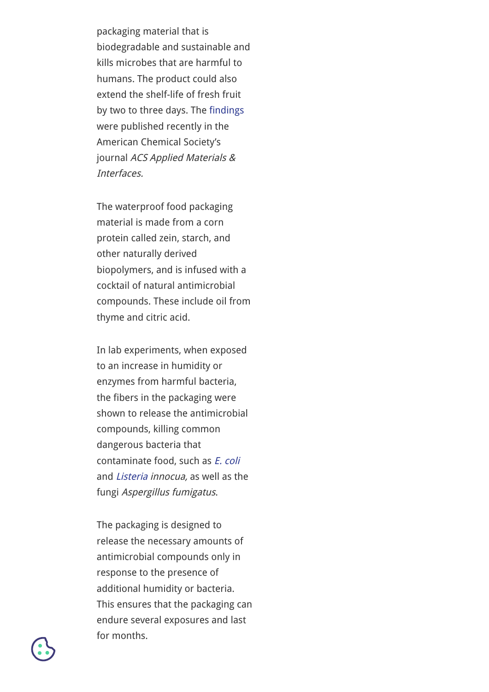packaging material that is biodegradable and sustainable and kills microbes that are harmful to humans. The product could also extend the shelf-life of fresh fruit by two to three days. The [findings](https://pubs.acs.org/doi/10.1021/acsami.1c12319) were published recently in the American Chemical Society's journal ACS Applied Materials & Interfaces.

The waterproof food packaging material is made from a corn protein called zein, starch, and other naturally derived biopolymers, and is infused with a cocktail of natural antimicrobial compounds. These include oil from thyme and citric acid.

In lab experiments, when exposed to an increase in humidity or enzymes from harmful bacteria, the fibers in the packaging were shown to release the antimicrobial compounds, killing common dangerous bacteria that contaminate food, such as [E. coli](http://www.cdc.gov/ecoli/) and [Listeria](http://www.cdc.gov/listeria/) innocua, as well as the fungi Aspergillus fumigatus.

The packaging is designed to release the necessary amounts of antimicrobial compounds only in response to the presence of additional humidity or bacteria. This ensures that the packaging can endure several exposures and last for months.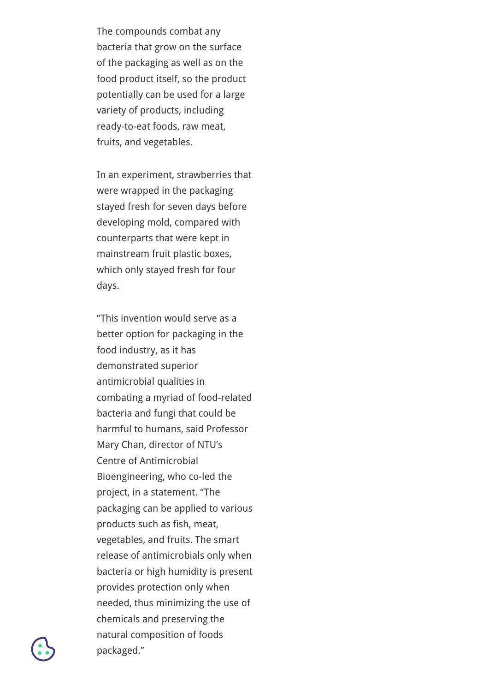The compounds combat any bacteria that grow on the surface of the packaging as well as on the food product itself, so the product potentially can be used for a large variety of products, including ready-to-eat foods, raw meat, fruits, and vegetables.

In an experiment, strawberries that were wrapped in the packaging stayed fresh for seven days before developing mold, compared with counterparts that were kept in mainstream fruit plastic boxes, which only stayed fresh for four days.

"This invention would serve as a better option for packaging in the food industry, as it has demonstrated superior antimicrobial qualities in combating a myriad of food-related bacteria and fungi that could be harmful to humans, said Professor Mary Chan, director of NTU's Centre of Antimicrobial Bioengineering, who co-led the project, in a statement. "The packaging can be applied to various products such as fish, meat, vegetables, and fruits. The smart release of antimicrobials only when bacteria or high humidity is present provides protection only when needed, thus minimizing the use of chemicals and preserving the natural composition of foods packaged."